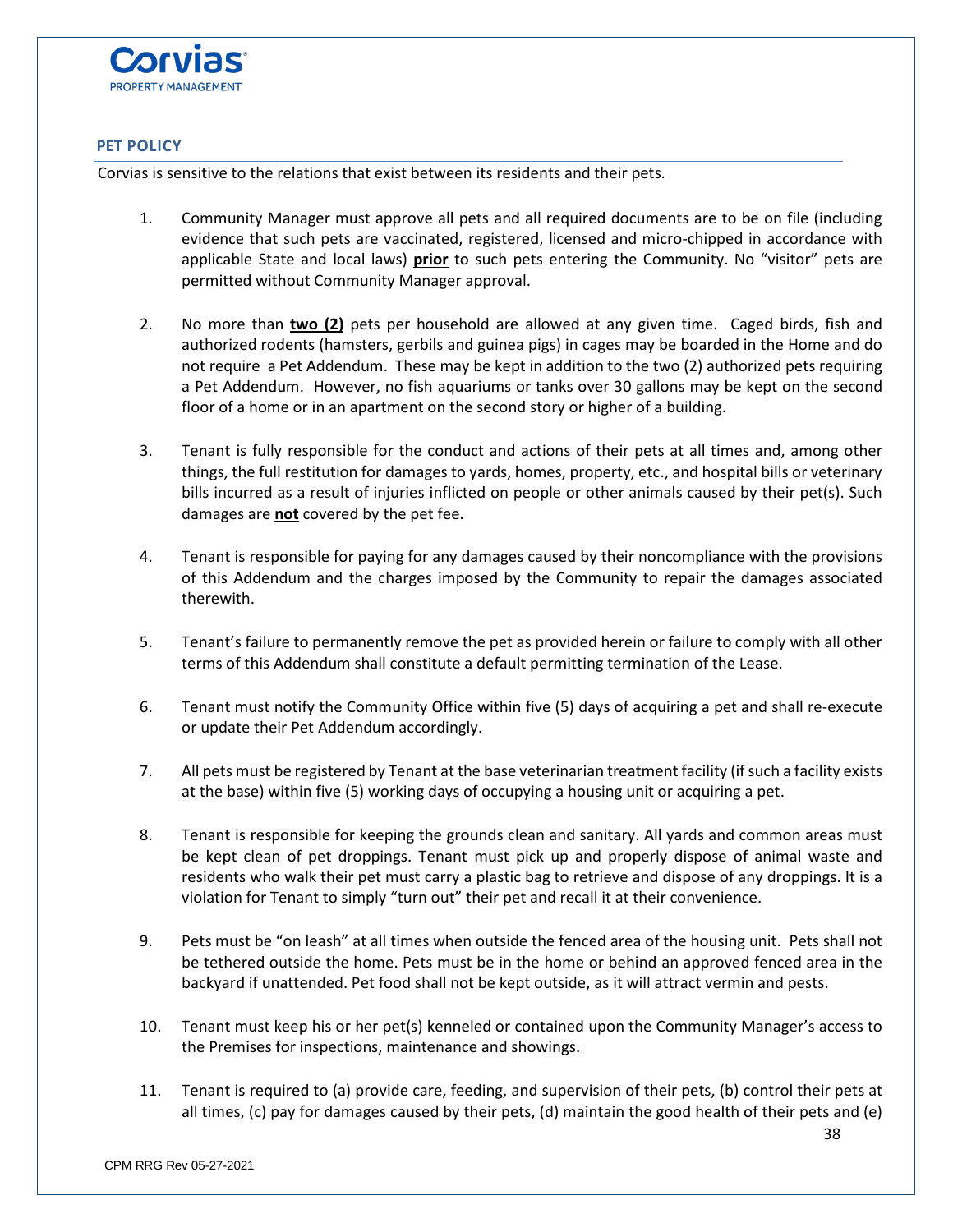

## **PET POLICY**

Corvias is sensitive to the relations that exist between its residents and their pets.

- 1. Community Manager must approve all pets and all required documents are to be on file (including evidence that such pets are vaccinated, registered, licensed and micro-chipped in accordance with applicable State and local laws) **prior** to such pets entering the Community. No "visitor" pets are permitted without Community Manager approval.
- 2. No more than **two (2)** pets per household are allowed at any given time. Caged birds, fish and authorized rodents (hamsters, gerbils and guinea pigs) in cages may be boarded in the Home and do not require a Pet Addendum. These may be kept in addition to the two (2) authorized pets requiring a Pet Addendum. However, no fish aquariums or tanks over 30 gallons may be kept on the second floor of a home or in an apartment on the second story or higher of a building.
- 3. Tenant is fully responsible for the conduct and actions of their pets at all times and, among other things, the full restitution for damages to yards, homes, property, etc., and hospital bills or veterinary bills incurred as a result of injuries inflicted on people or other animals caused by their pet(s). Such damages are **not** covered by the pet fee.
- 4. Tenant is responsible for paying for any damages caused by their noncompliance with the provisions of this Addendum and the charges imposed by the Community to repair the damages associated therewith.
- 5. Tenant's failure to permanently remove the pet as provided herein or failure to comply with all other terms of this Addendum shall constitute a default permitting termination of the Lease.
- 6. Tenant must notify the Community Office within five (5) days of acquiring a pet and shall re-execute or update their Pet Addendum accordingly.
- 7. All pets must be registered by Tenant at the base veterinarian treatment facility (if such a facility exists at the base) within five (5) working days of occupying a housing unit or acquiring a pet.
- 8. Tenant is responsible for keeping the grounds clean and sanitary. All yards and common areas must be kept clean of pet droppings. Tenant must pick up and properly dispose of animal waste and residents who walk their pet must carry a plastic bag to retrieve and dispose of any droppings. It is a violation for Tenant to simply "turn out" their pet and recall it at their convenience.
- 9. Pets must be "on leash" at all times when outside the fenced area of the housing unit. Pets shall not be tethered outside the home. Pets must be in the home or behind an approved fenced area in the backyard if unattended. Pet food shall not be kept outside, as it will attract vermin and pests.
- 10. Tenant must keep his or her pet(s) kenneled or contained upon the Community Manager's access to the Premises for inspections, maintenance and showings.
- 11. Tenant is required to (a) provide care, feeding, and supervision of their pets, (b) control their pets at all times, (c) pay for damages caused by their pets, (d) maintain the good health of their pets and (e)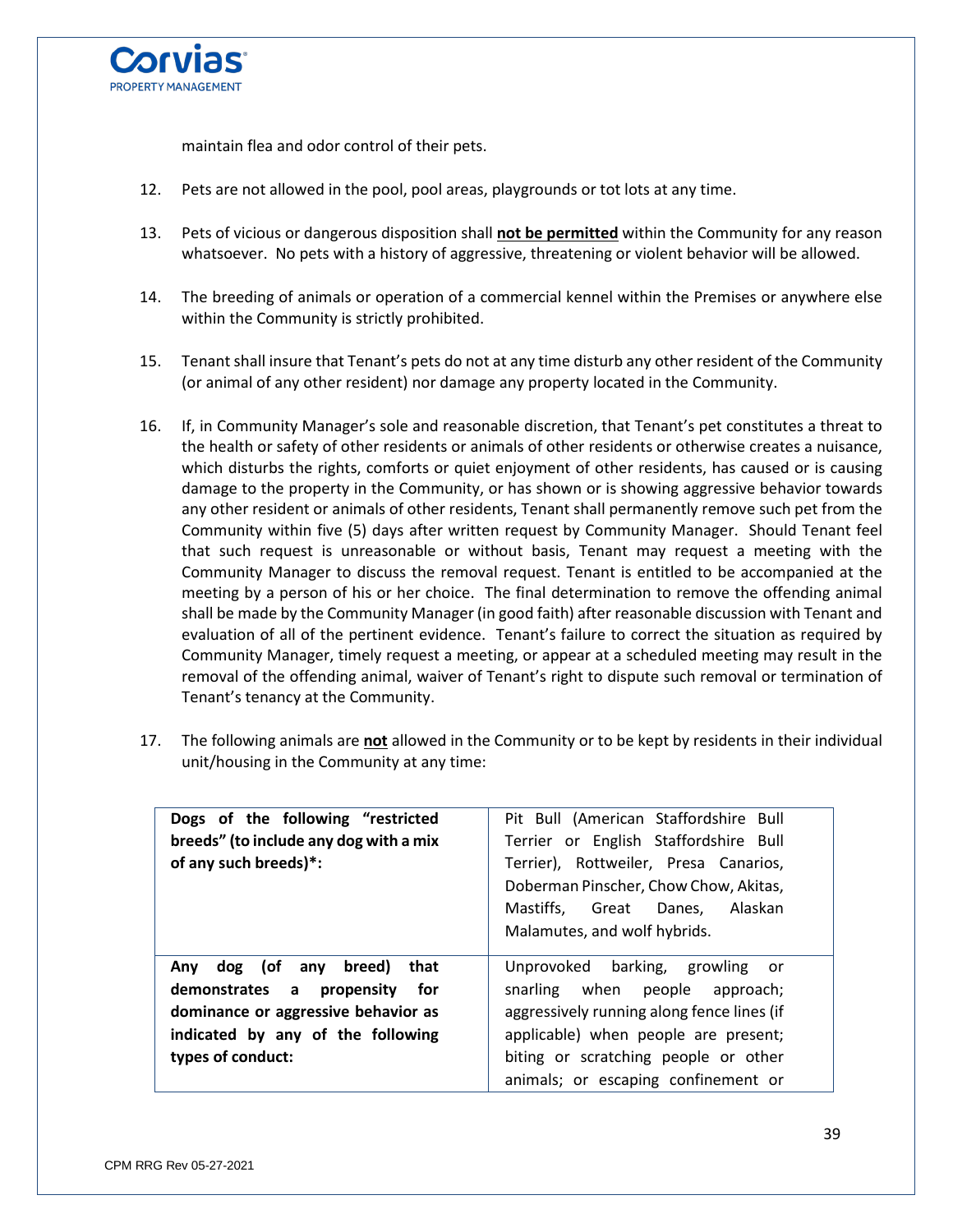

maintain flea and odor control of their pets.

- 12. Pets are not allowed in the pool, pool areas, playgrounds or tot lots at any time.
- 13. Pets of vicious or dangerous disposition shall **not be permitted** within the Community for any reason whatsoever. No pets with a history of aggressive, threatening or violent behavior will be allowed.
- 14. The breeding of animals or operation of a commercial kennel within the Premises or anywhere else within the Community is strictly prohibited.
- 15. Tenant shall insure that Tenant's pets do not at any time disturb any other resident of the Community (or animal of any other resident) nor damage any property located in the Community.
- 16. If, in Community Manager's sole and reasonable discretion, that Tenant's pet constitutes a threat to the health or safety of other residents or animals of other residents or otherwise creates a nuisance, which disturbs the rights, comforts or quiet enjoyment of other residents, has caused or is causing damage to the property in the Community, or has shown or is showing aggressive behavior towards any other resident or animals of other residents, Tenant shall permanently remove such pet from the Community within five (5) days after written request by Community Manager. Should Tenant feel that such request is unreasonable or without basis, Tenant may request a meeting with the Community Manager to discuss the removal request. Tenant is entitled to be accompanied at the meeting by a person of his or her choice. The final determination to remove the offending animal shall be made by the Community Manager (in good faith) after reasonable discussion with Tenant and evaluation of all of the pertinent evidence. Tenant's failure to correct the situation as required by Community Manager, timely request a meeting, or appear at a scheduled meeting may result in the removal of the offending animal, waiver of Tenant's right to dispute such removal or termination of Tenant's tenancy at the Community.
- 17. The following animals are **not** allowed in the Community or to be kept by residents in their individual unit/housing in the Community at any time:

| Dogs of the following "restricted                                                                                                                                                   | Pit Bull (American Staffordshire Bull                                                                                                                                                           |
|-------------------------------------------------------------------------------------------------------------------------------------------------------------------------------------|-------------------------------------------------------------------------------------------------------------------------------------------------------------------------------------------------|
| breeds" (to include any dog with a mix                                                                                                                                              | Terrier or English Staffordshire Bull                                                                                                                                                           |
| of any such breeds)*:                                                                                                                                                               | Terrier), Rottweiler, Presa Canarios,<br>Doberman Pinscher, Chow Chow, Akitas,                                                                                                                  |
|                                                                                                                                                                                     | Mastiffs, Great Danes, Alaskan<br>Malamutes, and wolf hybrids.                                                                                                                                  |
| breed)<br>dog (of any<br>that<br>Any<br>demonstrates a<br><b>for</b><br>propensity<br>dominance or aggressive behavior as<br>indicated by any of the following<br>types of conduct: | Unprovoked barking, growling or<br>snarling when people approach;<br>aggressively running along fence lines (if<br>applicable) when people are present;<br>biting or scratching people or other |
|                                                                                                                                                                                     | animals; or escaping confinement or                                                                                                                                                             |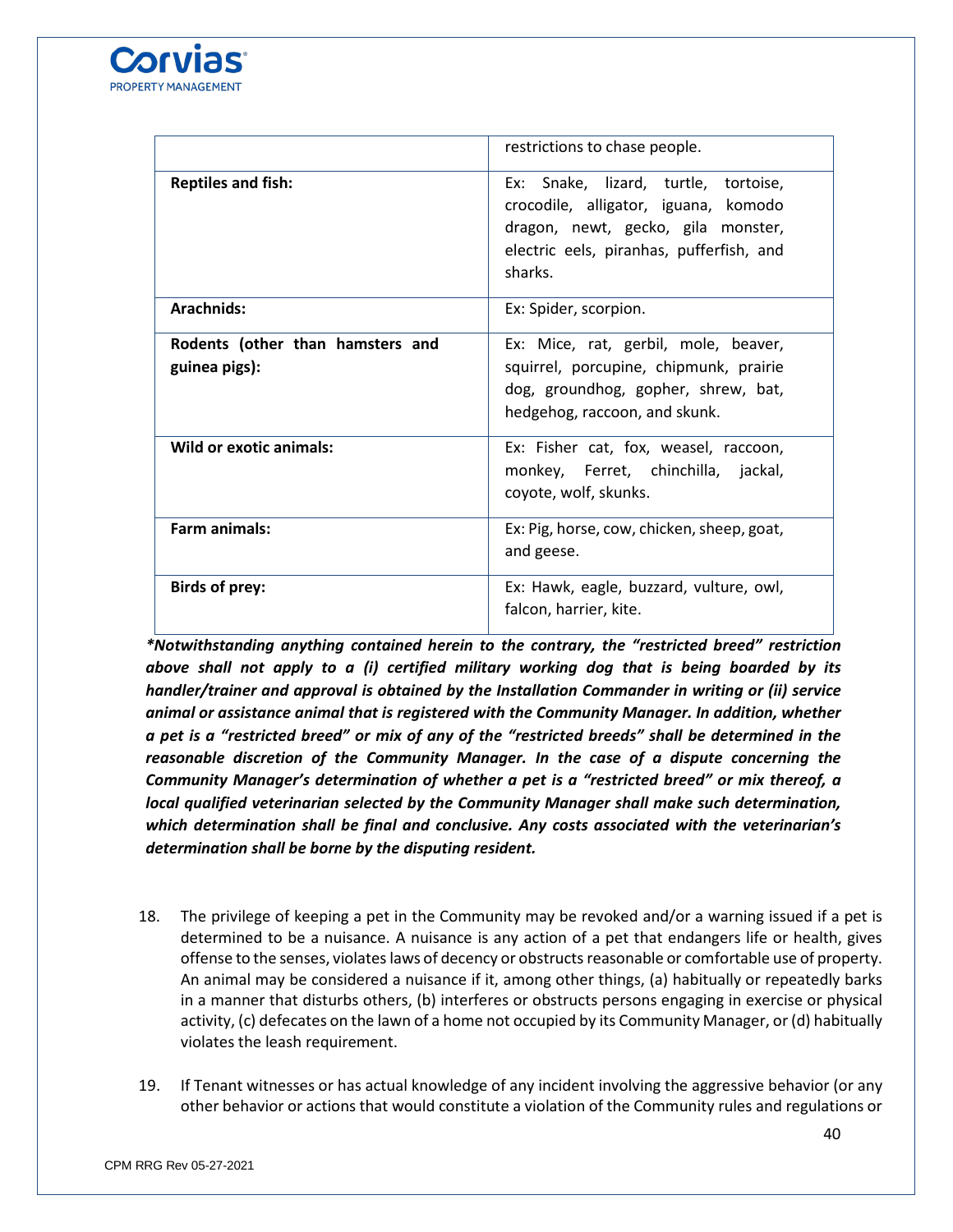

|                                                   | restrictions to chase people.                                                                                                                                             |
|---------------------------------------------------|---------------------------------------------------------------------------------------------------------------------------------------------------------------------------|
| <b>Reptiles and fish:</b>                         | Ex: Snake, lizard, turtle, tortoise,<br>crocodile, alligator, iguana, komodo<br>dragon, newt, gecko, gila monster,<br>electric eels, piranhas, pufferfish, and<br>sharks. |
| Arachnids:                                        | Ex: Spider, scorpion.                                                                                                                                                     |
| Rodents (other than hamsters and<br>guinea pigs): | Ex: Mice, rat, gerbil, mole, beaver,<br>squirrel, porcupine, chipmunk, prairie<br>dog, groundhog, gopher, shrew, bat,<br>hedgehog, raccoon, and skunk.                    |
| Wild or exotic animals:                           | Ex: Fisher cat, fox, weasel, raccoon,<br>monkey, Ferret, chinchilla, jackal,<br>coyote, wolf, skunks.                                                                     |
| Farm animals:                                     | Ex: Pig, horse, cow, chicken, sheep, goat,<br>and geese.                                                                                                                  |
| <b>Birds of prey:</b>                             | Ex: Hawk, eagle, buzzard, vulture, owl,<br>falcon, harrier, kite.                                                                                                         |

*\*Notwithstanding anything contained herein to the contrary, the "restricted breed" restriction above shall not apply to a (i) certified military working dog that is being boarded by its handler/trainer and approval is obtained by the Installation Commander in writing or (ii) service animal or assistance animal that is registered with the Community Manager. In addition, whether a pet is a "restricted breed" or mix of any of the "restricted breeds" shall be determined in the reasonable discretion of the Community Manager. In the case of a dispute concerning the Community Manager's determination of whether a pet is a "restricted breed" or mix thereof, a local qualified veterinarian selected by the Community Manager shall make such determination, which determination shall be final and conclusive. Any costs associated with the veterinarian's determination shall be borne by the disputing resident.*

- 18. The privilege of keeping a pet in the Community may be revoked and/or a warning issued if a pet is determined to be a nuisance. A nuisance is any action of a pet that endangers life or health, gives offense to the senses, violates laws of decency or obstructs reasonable or comfortable use of property. An animal may be considered a nuisance if it, among other things, (a) habitually or repeatedly barks in a manner that disturbs others, (b) interferes or obstructs persons engaging in exercise or physical activity, (c) defecates on the lawn of a home not occupied by its Community Manager, or (d) habitually violates the leash requirement.
- 19. If Tenant witnesses or has actual knowledge of any incident involving the aggressive behavior (or any other behavior or actions that would constitute a violation of the Community rules and regulations or